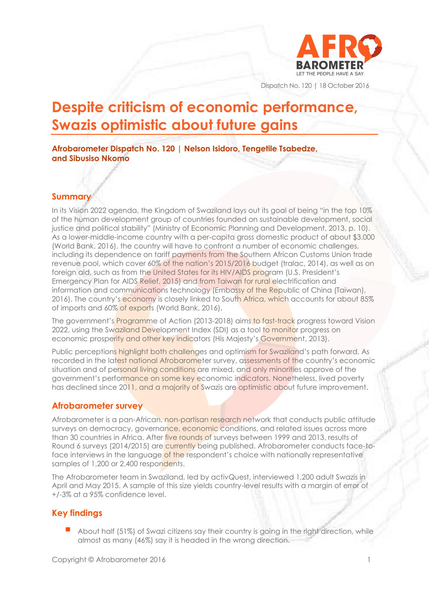

Dispatch No. 120 | 18 October 2016

# **Despite criticism of economic performance, Swazis optimistic about future gains**

## **Afrobarometer Dispatch No. 120 | Nelson Isidoro, Tengetile Tsabedze, and Sibusiso Nkomo**

## **Summary**

In its Vision 2022 agenda, the Kingdom of Swaziland lays out its goal of being "in the top 10% of the human development group of countries founded on sustainable development, social justice and political stability" (Ministry of Economic Planning and Development, 2013, p. 10). As a lower-middle-income country with a per-capita gross domestic product of about \$3,000 (World Bank, 2016), the country will have to confront a number of economic challenges, including its dependence on tariff payments from the Southern African Customs Union trade revenue pool, which cover 60% of the nation's 2015/2016 budget (tralac, 2014), as well as on foreign aid, such as from the United States for its HIV/AIDS program (U.S. President's Emergency Plan for AIDS Relief, 2015) and from Taiwan for rural electrification and information and communications technology (Embassy of the Republic of China (Taiwan), 2016). The country's economy is closely linked to South Africa, which accounts for about 85% of imports and 60% of exports (World Bank, 2016).

The government's Programme of Action (2013-2018) aims to fast-track progress toward Vision 2022, using the Swaziland Development Index (SDI) as a tool to monitor progress on economic prosperity and other key indicators (His Majesty's Government, 2013).

Public perceptions highlight both challenges and optimism for Swaziland's path forward. As recorded in the latest national Afrobarometer survey, assessments of the country's economic situation and of personal living conditions are mixed, and only minorities approve of the government's performance on some key economic indicators. Nonetheless, lived poverty has declined since 2011, and a majority of Swazis are optimistic about future improvement.

#### **Afrobarometer survey**

Afrobarometer is a pan-African, non-partisan research network that conducts public attitude surveys on democracy, governance, economic conditions, and related issues across more than 30 countries in Africa. After five rounds of surveys between 1999 and 2013, results of Round 6 surveys (2014/2015) are currently being published. Afrobarometer conducts face-toface interviews in the language of the respondent's choice with nationally representative samples of 1,200 or 2,400 respondents.

The Afrobarometer team in Swaziland, led by activQuest, interviewed 1,200 adult Swazis in April and May 2015. A sample of this size yields country-level results with a margin of error of +/-3% at a 95% confidence level.

## **Key findings**

 About half (51%) of Swazi citizens say their country is going in the right direction, while almost as many (46%) say it is headed in the wrong direction.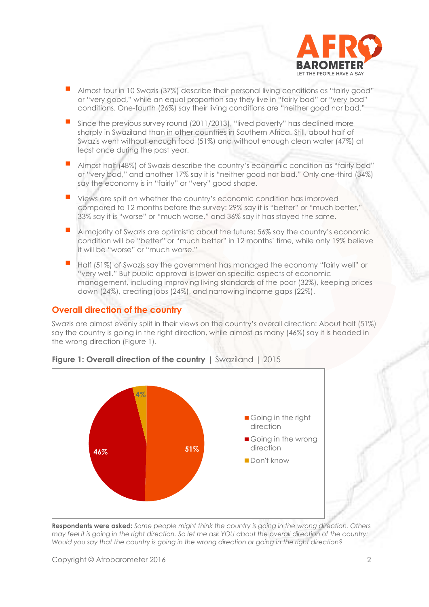

- Almost four in 10 Swazis (37%) describe their personal living conditions as "fairly good" or "very good," while an equal proportion say they live in "fairly bad" or "very bad" conditions. One-fourth (26%) say their living conditions are "neither good nor bad."
- Since the previous survey round (2011/2013), "lived poverty" has declined more sharply in Swaziland than in other countries in Southern Africa. Still, about half of Swazis went without enough food (51%) and without enough clean water (47%) at least once during the past year.
- Almost half (48%) of Swazis describe the country's economic condition as "fairly bad" or "very bad," and another 17% say it is "neither good nor bad." Only one-third (34%) say the economy is in "fairly" or "very" good shape.
- Views are split on whether the country's economic condition has improved compared to 12 months before the survey: 29% say it is "better" or "much better," 33% say it is "worse" or "much worse," and 36% say it has stayed the same.
- A majority of Swazis are optimistic about the future: 56% say the country's economic condition will be "better" or "much better" in 12 months' time, while only 19% believe it will be "worse" or "much worse."
- Half (51%) of Swazis say the government has managed the economy "fairly well" or "very well." But public approval is lower on specific aspects of economic management, including improving living standards of the poor (32%), keeping prices down (24%), creating jobs (24%), and narrowing income gaps (22%).

## **Overall direction of the country**

Swazis are almost evenly split in their views on the country's overall direction: About half (51%) say the country is going in the right direction, while almost as many (46%) say it is headed in the wrong direction (Figure 1).



## **Figure 1: Overall direction of the country** | Swaziland | 2015

**Respondents were asked:** *Some people might think the country is going in the wrong direction. Others may feel it is going in the right direction. So let me ask YOU about the overall direction of the country: Would you say that the country is going in the wrong direction or going in the right direction?*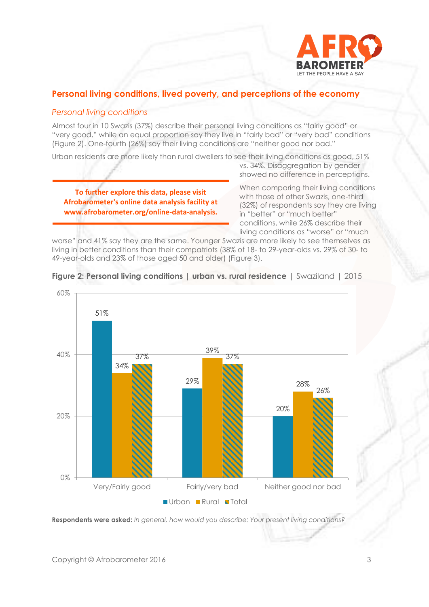

## **Personal living conditions, lived poverty, and perceptions of the economy**

## *Personal living conditions*

Almost four in 10 Swazis (37%) describe their personal living conditions as "fairly good" or "very good," while an equal proportion say they live in "fairly bad" or "very bad" conditions (Figure 2). One-fourth (26%) say their living conditions are "neither good nor bad."

Urban residents are more likely than rural dwellers to see their living conditions as good, 51%

**To further explore this data, please visit Afrobarometer's online data analysis facility at www.afrobarometer.org/online-data-analysis.**

vs. 34%. Disaggregation by gender showed no difference in perceptions.

When comparing their living conditions with those of other Swazis, one-third (32%) of respondents say they are living in "better" or "much better" conditions, while 26% describe their living conditions as "worse" or "much

worse" and 41% say they are the same. Younger Swazis are more likely to see themselves as living in better conditions than their compatriots (38% of 18- to 29-year-olds vs. 29% of 30- to 49-year-olds and 23% of those aged 50 and older) (Figure 3).



**Figure 2: Personal living conditions | urban vs. rural residence** | Swaziland | 2015

**Respondents were asked:** *In general, how would you describe: Your present living conditions?*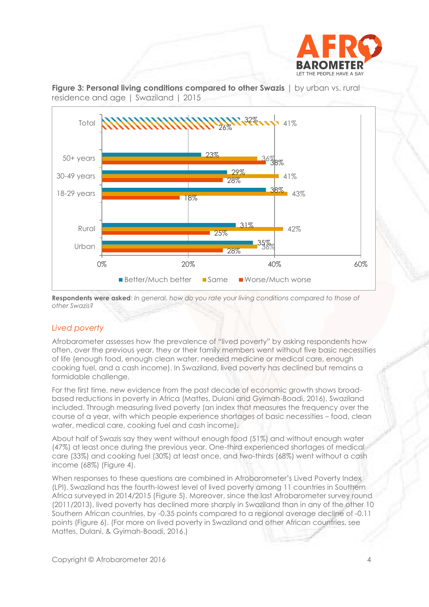





**Respondents were asked**: *In general, how do you rate your living conditions compared to those of other Swazis?* 

## *Lived poverty*

Afrobarometer assesses how the prevalence of "lived poverty" by asking respondents how often, over the previous year, they or their family members went without five basic necessities of life (enough food, enough clean water, needed medicine or medical care, enough cooking fuel, and a cash income). In Swaziland, lived poverty has declined but remains a formidable challenge.

For the first time, new evidence from the past decade of economic growth shows broadbased reductions in poverty in Africa (Mattes, Dulani and Gyimah-Boadi, 2016), Swaziland included. Through measuring lived poverty (an index that measures the frequency over the course of a year, with which people experience shortages of basic necessities – food, clean water, medical care, cooking fuel and cash income).

About half of Swazis say they went without enough food (51%) and without enough water (47%) at least once during the previous year. One-third experienced shortages of medical care (33%) and cooking fuel (30%) at least once, and two-thirds (68%) went without a cash income (68%) (Figure 4).

When responses to these questions are combined in Afrobarometer's Lived Poverty Index (LPI), Swaziland has the fourth-lowest level of lived poverty among 11 countries in Southern Africa surveyed in 2014/2015 (Figure 5). Moreover, since the last Afrobarometer survey round (2011/2013), lived poverty has declined more sharply in Swaziland than in any of the other 10 Southern African countries, by -0.35 points compared to a regional average decline of -0.11 points (Figure 6). (For more on lived poverty in Swaziland and other African countries, see Mattes, Dulani, & Gyimah-Boadi, 2016.)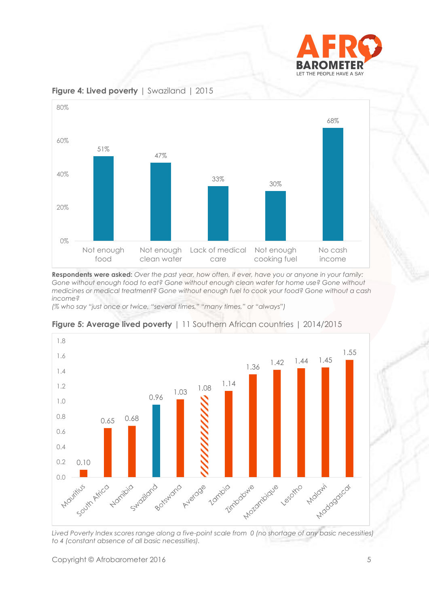



**Figure 4: Lived poverty** | Swaziland | 2015

**Respondents were asked:** *Over the past year, how often, if ever, have you or anyone in your family: Gone without enough food to eat? Gone without enough clean water for home use? Gone without medicines or medical treatment? Gone without enough fuel to cook your food? Gone without a cash income?*

*(% who say "just once or twice, "several times," "many times," or "always")*



**Figure 5: Average lived poverty** | 11 Southern African countries | 2014/2015

*Lived Poverty Index scores range along a five-point scale from 0 (no shortage of any basic necessities) to 4 (constant absence of all basic necessities).*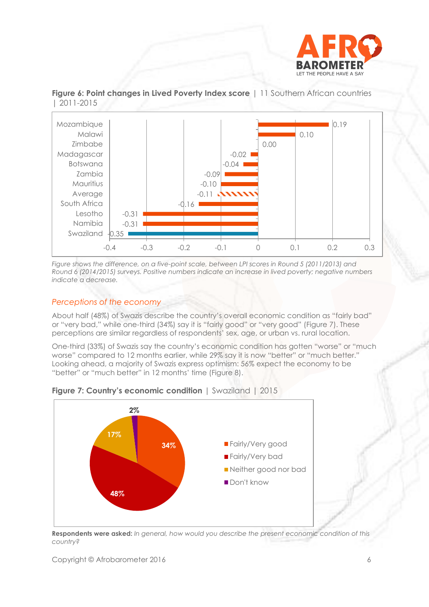





*Figure shows the difference, on a five-point scale, between LPI scores in Round 5 (2011/2013) and Round 6 (2014/2015) surveys. Positive numbers indicate an increase in lived poverty; negative numbers indicate a decrease.* 

## *Perceptions of the economy*

About half (48%) of Swazis describe the country's overall economic condition as "fairly bad" or "very bad," while one-third (34%) say it is "fairly good" or "very good" (Figure 7). These perceptions are similar regardless of respondents' sex, age, or urban vs. rural location.

One-third (33%) of Swazis say the country's economic condition has gotten "worse" or "much worse" compared to 12 months earlier, while 29% say it is now "better" or "much better." Looking ahead, a majority of Swazis express optimism: 56% expect the economy to be "better" or "much better" in 12 months' time (Figure 8).



**Figure 7: Country's economic condition** | Swaziland | 2015

**Respondents were asked:** *In general, how would you describe the present economic condition of this country?*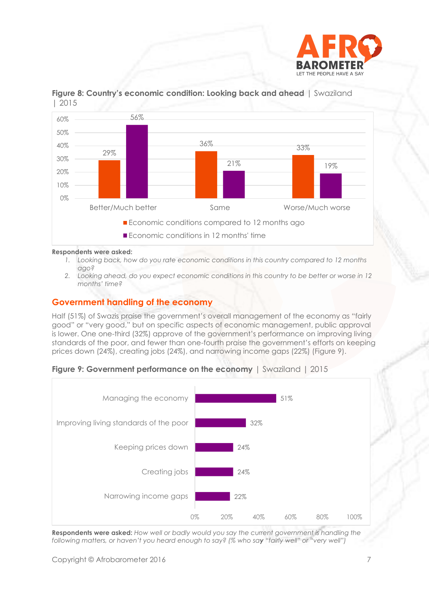



**Figure 8: Country's economic condition: Looking back and ahead** | Swaziland | 2015

#### **Respondents were asked:**

- *1. Looking back, how do you rate economic conditions in this country compared to 12 months ago?*
- *2. Looking ahead, do you expect economic conditions in this country to be better or worse in 12 months' time?*

### **Government handling of the economy**

Half (51%) of Swazis praise the government's overall management of the economy as "fairly good" or "very good," but on specific aspects of economic management, public approval is lower. One one-third (32%) approve of the government's performance on improving living standards of the poor, and fewer than one-fourth praise the government's efforts on keeping prices down (24%), creating jobs (24%), and narrowing income gaps (22%) (Figure 9).





**Respondents were asked:** *How well or badly would you say the current government is handling the following matters, or haven't you heard enough to say? (% who say "fairly well" or "very well")*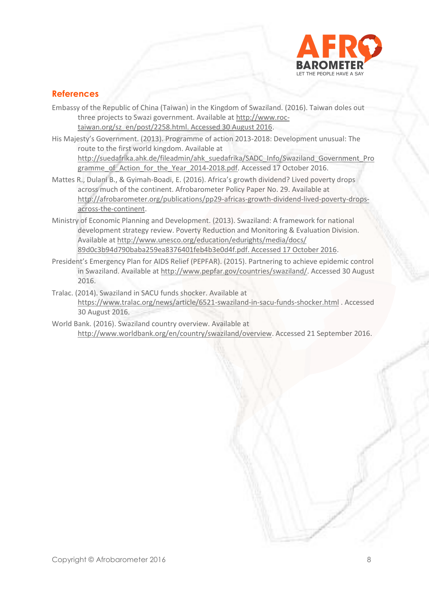

## **References**

- Embassy of the Republic of China (Taiwan) in the Kingdom of Swaziland. (2016). Taiwan doles out three projects to Swazi government. Available a[t http://www.roc](http://www.roc-taiwan.org/sz_en/post/2258.html.%20Accessed%2030%20August%202016)[taiwan.org/sz\\_en/post/2258.html. Accessed 30 August 2016.](http://www.roc-taiwan.org/sz_en/post/2258.html.%20Accessed%2030%20August%202016)
- His Majesty's Government. (2013). Programme of action 2013-2018: Development unusual: The route to the first world kingdom. Available at [http://suedafrika.ahk.de/fileadmin/ahk\\_suedafrika/SADC\\_Info/Swaziland\\_Government\\_Pro](http://suedafrika.ahk.de/fileadmin/ahk_suedafrika/SADC_Info/Swaziland_Government_Programme_of_Action_for_the_Year_2014-2018.pdf) [gramme\\_of\\_Action\\_for\\_the\\_Year\\_2014-2018.pdf.](http://suedafrika.ahk.de/fileadmin/ahk_suedafrika/SADC_Info/Swaziland_Government_Programme_of_Action_for_the_Year_2014-2018.pdf) Accessed 17 October 2016.
- Mattes R., Dulani B., & Gyimah-Boadi, E. (2016). Africa's growth dividend? Lived poverty drops across much of the continent. Afrobarometer Policy Paper No. 29. Available at [http://afrobarometer.org/publications/pp29-africas-growth-dividend-lived-poverty-drops](http://afrobarometer.org/publications/pp29-africas-growth-dividend-lived-poverty-drops-across-the-continent)[across-the-continent.](http://afrobarometer.org/publications/pp29-africas-growth-dividend-lived-poverty-drops-across-the-continent)
- Ministry of Economic Planning and Development. (2013). Swaziland: A framework for national development strategy review. Poverty Reduction and Monitoring & Evaluation Division. Available a[t http://www.unesco.org/education/edurights/media/docs/](http://www.unesco.org/education/edurights/media/docs/%2089d0c3b94d790baba259ea8376401feb4b3e0d4f.pdf.%20Accessed%2017%20October%202016)  [89d0c3b94d790baba259ea8376401feb4b3e0d4f.pdf. Accessed 17 October 2016.](http://www.unesco.org/education/edurights/media/docs/%2089d0c3b94d790baba259ea8376401feb4b3e0d4f.pdf.%20Accessed%2017%20October%202016)
- President's Emergency Plan for AIDS Relief (PEPFAR). (2015). Partnering to achieve epidemic control in Swaziland. Available at [http://www.pepfar.gov/countries/swaziland/.](http://www.pepfar.gov/countries/swaziland/) Accessed 30 August 2016.
- Tralac. (2014). Swaziland in SACU funds shocker. Available at <https://www.tralac.org/news/article/6521-swaziland-in-sacu-funds-shocker.html> . Accessed 30 August 2016.
- World Bank. (2016). Swaziland country overview. Available at [http://www.worldbank.org/en/country/swaziland/overview.](http://www.worldbank.org/en/country/swaziland/overview) Accessed 21 September 2016.